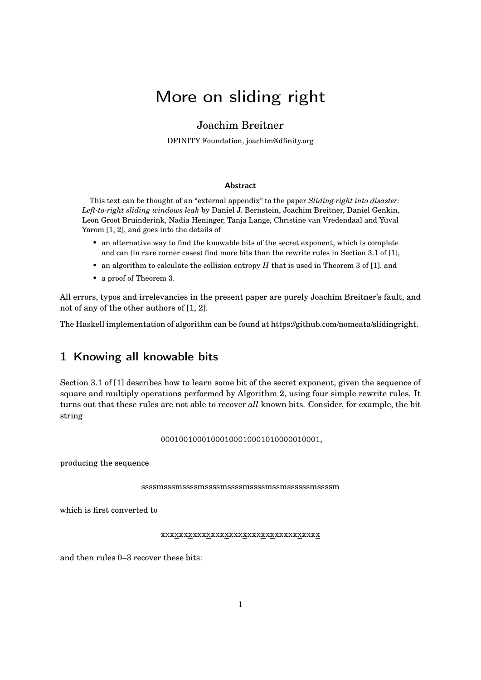# More on sliding right

### Joachim Breitner

DFINITY Foundation, [joachim@dfinity.org](mailto:joachim@dfinity.org)

#### Abstract

This text can be thought of an "external appendix" to the paper *Sliding right into disaster: Left-to-right sliding windows leak* by Daniel J. Bernstein, Joachim Breitner, Daniel Genkin, Leon Groot Bruinderink, Nadia Heninger, Tanja Lange, Christine van Vredendaal and Yuval Yarom [\[1,](#page-10-0) [2\]](#page-11-0), and goes into the details of

- an alternative way to find the knowable bits of the secret exponent, which is complete and can (in rare corner cases) find more bits than the rewrite rules in Section 3.1 of [\[1\]](#page-10-0),
- an algorithm to calculate the collision entropy *H* that is used in Theorem 3 of [\[1\]](#page-10-0), and
- a proof of Theorem 3.

All errors, typos and irrelevancies in the present paper are purely Joachim Breitner's fault, and not of any of the other authors of [\[1,](#page-10-0) [2\]](#page-11-0).

The Haskell implementation of algorithm can be found at [https://github.com/nomeata/slidingright.](https://github.com/nomeata/slidingright)

## 1 Knowing all knowable bits

Section 3.1 of [\[1\]](#page-10-0) describes how to learn some bit of the secret exponent, given the sequence of square and multiply operations performed by Algorithm 2, using four simple rewrite rules. It turns out that these rules are not able to recover *all* known bits. Consider, for example, the bit string

0001001000100010000101000010000100001,

producing the sequence

ssssmsssmssssmssssmssssmssssmssmssssssmssssm

which is first converted to

xxxxxxxxxxxxxxxxxxxxxxxxxxxxxxxxxxx

and then rules 0–3 recover these bits: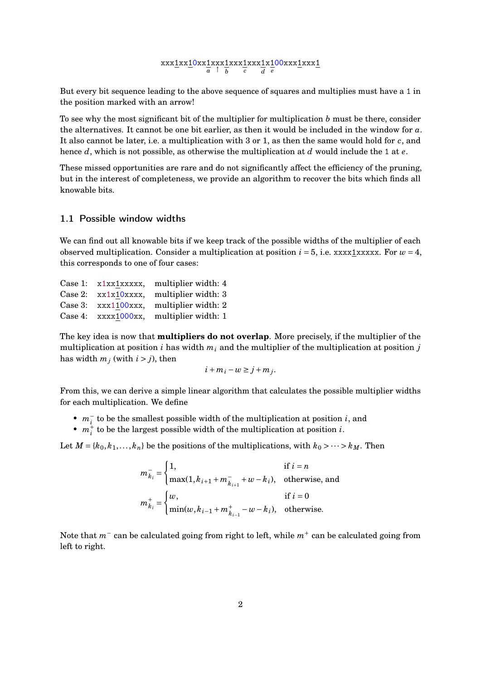#### xxx<u>1</u>xx<u>1</u>0xx<u>1</u>xxx<u>1</u><br>a ↑ b *b* xxx1 *c* xxx1 *d* x1 *e* 00xxx1xxx1

But every bit sequence leading to the above sequence of squares and multiplies must have a 1 in the position marked with an arrow!

To see why the most significant bit of the multiplier for multiplication *b* must be there, consider the alternatives. It cannot be one bit earlier, as then it would be included in the window for *a*. It also cannot be later, i.e. a multiplication with 3 or 1, as then the same would hold for *c*, and hence *d*, which is not possible, as otherwise the multiplication at *d* would include the 1 at *e*.

These missed opportunities are rare and do not significantly affect the efficiency of the pruning, but in the interest of completeness, we provide an algorithm to recover the bits which finds all knowable bits.

#### 1.1 Possible window widths

We can find out all knowable bits if we keep track of the possible widths of the multiplier of each observed multiplication. Consider a multiplication at position  $i = 5$ , i.e. xxx1xxxxx. For  $w = 4$ , this corresponds to one of four cases:

|  | Case 1: $x1xx1xxxx$ , multiplier width: 4  |
|--|--------------------------------------------|
|  | Case 2: $xx1x10xxx$ , multiplier width: 3  |
|  | Case 3: $xxx1100xxx$ , multiplier width: 2 |
|  | Case 4: $xxxx1000xx$ , multiplier width: 1 |

The key idea is now that **multipliers do not overlap**. More precisely, if the multiplier of the multiplication at position *i* has width  $m_i$  and the multiplier of the multiplication at position *j* has width  $m_j$  (with  $i > j$ ), then

$$
i + m_i - w \geq j + m_j.
$$

From this, we can derive a simple linear algorithm that calculates the possible multiplier widths for each multiplication. We define

- $m_i^-$  to be the smallest possible width of the multiplication at position *i*, and
- $m_i^{\dagger}$  to be the largest possible width of the multiplication at position *i*.

Let  $M = \{k_0, k_1, \ldots, k_n\}$  be the positions of the multiplications, with  $k_0 > \cdots > k_M$ . Then

$$
m_{k_i}^- = \begin{cases} 1, & \text{if } i = n \\ \max(1, k_{i+1} + m_{k_{i+1}}^- + w - k_i), & \text{otherwise, and} \end{cases}
$$
  

$$
m_{k_i}^+ = \begin{cases} w, & \text{if } i = 0 \\ \min(w, k_{i-1} + m_{k_{i-1}}^+ - w - k_i), & \text{otherwise.} \end{cases}
$$

Note that *m*<sup>−</sup> can be calculated going from right to left, while *m*<sup>+</sup> can be calculated going from left to right.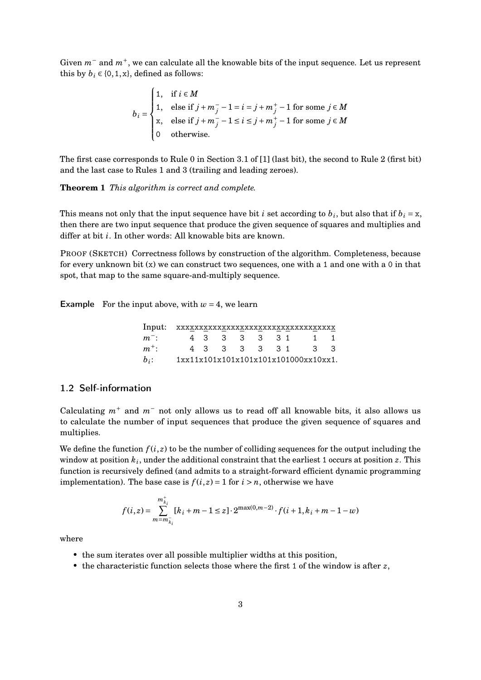Given  $m<sup>−</sup>$  and  $m<sup>+</sup>$ , we can calculate all the knowable bits of the input sequence. Let us represent this by  $b_i \in \{0, 1, x\}$ , defined as follows:

$$
b_i = \begin{cases} 1, & \text{if } i \in M \\ 1, & \text{else if } j + m_j^- - 1 = i = j + m_j^+ - 1 \text{ for some } j \in M \\ \text{x,} & \text{else if } j + m_j^- - 1 \le i \le j + m_j^+ - 1 \text{ for some } j \in M \\ 0 & \text{otherwise.} \end{cases}
$$

The first case corresponds to Rule 0 in Section 3.1 of [\[1\]](#page-10-0) (last bit), the second to Rule 2 (first bit) and the last case to Rules 1 and 3 (trailing and leading zeroes).

**Theorem 1** *This algorithm is correct and complete.*

This means not only that the input sequence have bit *i* set according to  $b_i$ , but also that if  $b_i = x$ , then there are two input sequence that produce the given sequence of squares and multiplies and differ at bit *i*. In other words: All knowable bits are known.

PROOF (SKETCH) Correctness follows by construction of the algorithm. Completeness, because for every unknown bit  $(x)$  we can construct two sequences, one with a 1 and one with a 0 in that spot, that map to the same square-and-multiply sequence.

**Example** For the input above, with  $w = 4$ , we learn

| Input:  |  |               |  |  | XXXXXXXXXXXXXXXXXXXXXXXXXXXXXXXXXXX      |  |
|---------|--|---------------|--|--|------------------------------------------|--|
| $m^-$ : |  | 4 3 3 3 3 3 1 |  |  | $\begin{array}{ccc} & 1 & 1 \end{array}$ |  |
| $m^+$ : |  |               |  |  | 4 3 3 3 3 3 1 3 3                        |  |
| $b_i$ : |  |               |  |  | 1xx11x101x101x101x101x101000xx10xx1.     |  |

#### 1.2 Self-information

Calculating  $m^+$  and  $m^-$  not only allows us to read off all knowable bits, it also allows us to calculate the number of input sequences that produce the given sequence of squares and multiplies.

We define the function  $f(i, z)$  to be the number of colliding sequences for the output including the window at position  $k_i$ , under the additional constraint that the earliest 1 occurs at position  $z$ . This function is recursively defined (and admits to a straight-forward efficient dynamic programming implementation). The base case is  $f(i, z) = 1$  for  $i > n$ , otherwise we have

$$
f(i,z) = \sum_{m=m_{\bar{k}_i}}^{m_{\bar{k}_i}^+} [k_i + m - 1 \le z] \cdot 2^{\max(0,m-2)} \cdot f(i+1,k_i + m - 1 - w)
$$

where

- the sum iterates over all possible multiplier widths at this position,
- the characteristic function selects those where the first 1 of the window is after *z*,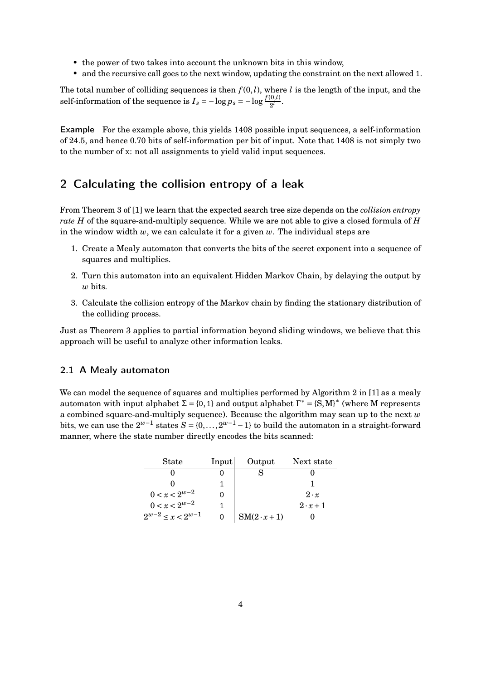- the power of two takes into account the unknown bits in this window,
- and the recursive call goes to the next window, updating the constraint on the next allowed 1.

The total number of colliding sequences is then  $f(0,l)$ , where *l* is the length of the input, and the self-information of the sequence is  $I_s = -\log p_s = -\log \frac{f(0,l)}{2^l}$ .

Example For the example above, this yields 1408 possible input sequences, a self-information of 24.5, and hence 0.70 bits of self-information per bit of input. Note that 1408 is not simply two to the number of x: not all assignments to yield valid input sequences.

### 2 Calculating the collision entropy of a leak

From Theorem 3 of [\[1\]](#page-10-0) we learn that the expected search tree size depends on the *collision entropy rate H* of the square-and-multiply sequence. While we are not able to give a closed formula of *H* in the window width  $w$ , we can calculate it for a given  $w$ . The individual steps are

- 1. Create a Mealy automaton that converts the bits of the secret exponent into a sequence of squares and multiplies.
- 2. Turn this automaton into an equivalent Hidden Markov Chain, by delaying the output by *w* bits.
- 3. Calculate the collision entropy of the Markov chain by finding the stationary distribution of the colliding process.

Just as Theorem 3 applies to partial information beyond sliding windows, we believe that this approach will be useful to analyze other information leaks.

#### 2.1 A Mealy automaton

We can model the sequence of squares and multiplies performed by Algorithm 2 in [\[1\]](#page-10-0) as a mealy automaton with input alphabet  $\Sigma = \{0, 1\}$  and output alphabet  $\Gamma^* = \{S, M\}^*$  (where M represents a combined square-and-multiply sequence). Because the algorithm may scan up to the next *w* bits, we can use the  $2^{w-1}$  states  $S = \{0, \ldots, 2^{w-1} - 1\}$  to build the automaton in a straight-forward manner, where the state number directly encodes the bits scanned:

| <b>State</b>               | Input | Output              | Next state      |
|----------------------------|-------|---------------------|-----------------|
|                            |       |                     |                 |
|                            |       |                     |                 |
| $0 < x < 2^{w-2}$          |       |                     | $2 \cdot x$     |
| $0 < x < 2^{w-2}$          |       |                     | $2 \cdot x + 1$ |
| $2^{w-2} \leq x < 2^{w-1}$ |       | $SM(2 \cdot x + 1)$ |                 |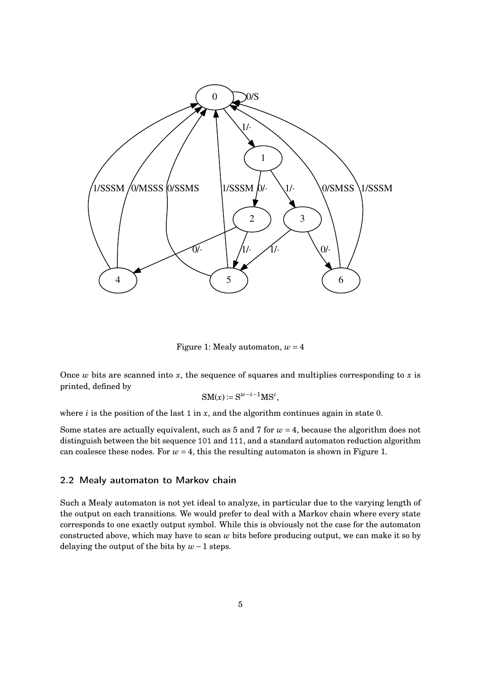

<span id="page-4-0"></span>Figure 1: Mealy automaton,  $w = 4$ 

Once  $w$  bits are scanned into  $x$ , the sequence of squares and multiplies corresponding to  $x$  is printed, defined by

$$
SM(x) \coloneqq S^{w-i-1}MS^i,
$$

where  $i$  is the position of the last 1 in  $x$ , and the algorithm continues again in state 0.

Some states are actually equivalent, such as  $5$  and  $7$  for  $w = 4$ , because the algorithm does not distinguish between the bit sequence 101 and 111, and a standard automaton reduction algorithm can coalesce these nodes. For  $w = 4$ , this the resulting automaton is shown in [Figure 1.](#page-4-0)

#### 2.2 Mealy automaton to Markov chain

Such a Mealy automaton is not yet ideal to analyze, in particular due to the varying length of the output on each transitions. We would prefer to deal with a Markov chain where every state corresponds to one exactly output symbol. While this is obviously not the case for the automaton constructed above, which may have to scan *w* bits before producing output, we can make it so by delaying the output of the bits by *w*−1 steps.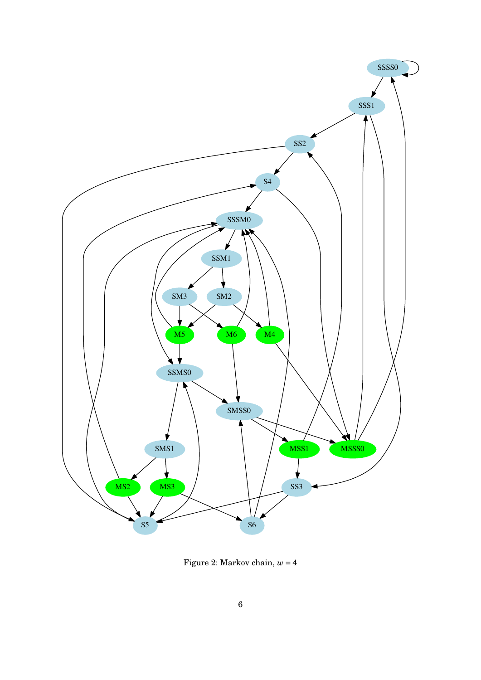

<span id="page-5-0"></span>Figure 2: Markov chain,  $w = 4$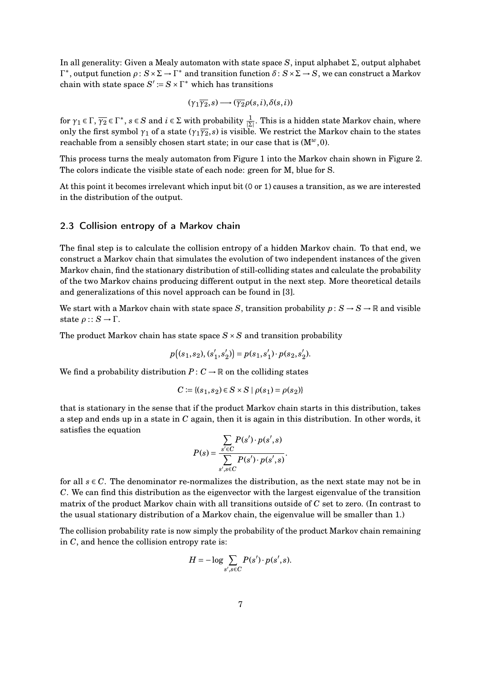In all generality: Given a Mealy automaton with state space *S*, input alphabet Σ, output alphabet  $Γ^*$ , output function  $ρ$ :  $S \times Σ → Γ^*$  and transition function  $δ$ :  $S \times Σ → S$ , we can construct a Markov chain with state space  $S' := S \times \Gamma^*$  which has transitions

$$
(\gamma_1\overline{\gamma_2},s)\longrightarrow(\overline{\gamma_2}\rho(s,i),\delta(s,i))
$$

for  $\gamma_1 \in \Gamma$ ,  $\overline{\gamma_2} \in \Gamma^*$ ,  $s \in S$  and  $i \in \Sigma$  with probability  $\frac{1}{|\Sigma|}$ . This is a hidden state Markov chain, where only the first symbol  $\gamma_1$  of a state ( $\gamma_1\overline{\gamma_2}$ , *s*) is visible. We restrict the Markov chain to the states reachable from a sensibly chosen start state; in our case that is (M*w*,0).

This process turns the mealy automaton from [Figure 1](#page-4-0) into the Markov chain shown in [Figure 2.](#page-5-0) The colors indicate the visible state of each node: green for M, blue for S.

At this point it becomes irrelevant which input bit (0 or 1) causes a transition, as we are interested in the distribution of the output.

#### 2.3 Collision entropy of a Markov chain

The final step is to calculate the collision entropy of a hidden Markov chain. To that end, we construct a Markov chain that simulates the evolution of two independent instances of the given Markov chain, find the stationary distribution of still-colliding states and calculate the probability of the two Markov chains producing different output in the next step. More theoretical details and generalizations of this novel approach can be found in [\[3\]](#page-11-1).

We start with a Markov chain with state space *S*, transition probability  $p: S \to S \to \mathbb{R}$  and visible state *ρ* :: *S* → Γ.

The product Markov chain has state space  $S \times S$  and transition probability

$$
p((s_1, s_2), (s'_1, s'_2)) = p(s_1, s'_1) \cdot p(s_2, s'_2).
$$

We find a probability distribution  $P: C \to \mathbb{R}$  on the colliding states

$$
C := \{(s_1, s_2) \in S \times S \mid \rho(s_1) = \rho(s_2)\}\
$$

that is stationary in the sense that if the product Markov chain starts in this distribution, takes a step and ends up in a state in *C* again, then it is again in this distribution. In other words, it satisfies the equation

$$
P(s) = \frac{\sum_{s' \in C} P(s') \cdot p(s', s)}{\sum_{s', s \in C} P(s') \cdot p(s', s)}.
$$

for all  $s \in C$ . The denominator re-normalizes the distribution, as the next state may not be in *C*. We can find this distribution as the eigenvector with the largest eigenvalue of the transition matrix of the product Markov chain with all transitions outside of *C* set to zero. (In contrast to the usual stationary distribution of a Markov chain, the eigenvalue will be smaller than 1.)

The collision probability rate is now simply the probability of the product Markov chain remaining in *C*, and hence the collision entropy rate is:

$$
H = -\log \sum_{s',s \in C} P(s') \cdot p(s',s).
$$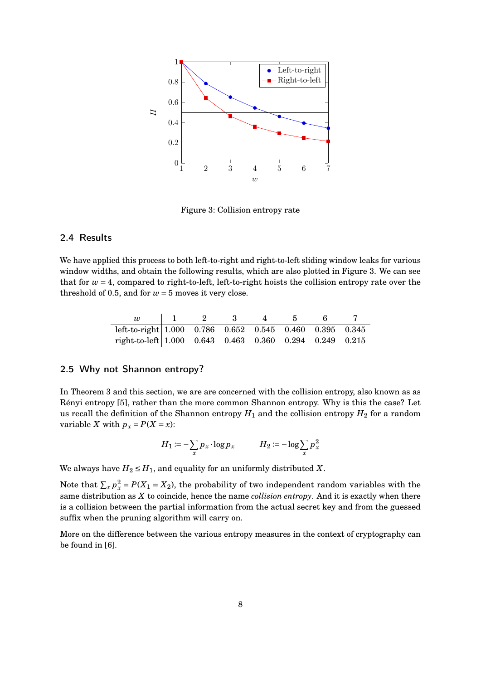

<span id="page-7-0"></span>Figure 3: Collision entropy rate

#### 2.4 Results

We have applied this process to both left-to-right and right-to-left sliding window leaks for various window widths, and obtain the following results, which are also plotted in [Figure 3.](#page-7-0) We can see that for  $w = 4$ , compared to right-to-left, left-to-right hoists the collision entropy rate over the threshold of 0.5, and for  $w = 5$  moves it very close.

|                                                                        |  | - 2 |  |  |
|------------------------------------------------------------------------|--|-----|--|--|
| left-to-right $ 1.000 \t0.786 \t0.652 \t0.545 \t0.460 \t0.395 \t0.345$ |  |     |  |  |
| right-to-left 1.000 $0.643$ $0.463$ $0.360$ $0.294$ $0.249$ $0.215$    |  |     |  |  |

### 2.5 Why not Shannon entropy?

In Theorem 3 and this section, we are are concerned with the collision entropy, also known as as Rényi entropy [\[5\]](#page-11-2), rather than the more common Shannon entropy. Why is this the case? Let us recall the definition of the Shannon entropy  $H_1$  and the collision entropy  $H_2$  for a random variable *X* with  $p_x = P(X = x)$ :

$$
H_1 := -\sum_{x} p_x \cdot \log p_x \qquad H_2 := -\log \sum_{x} p_x^2
$$

We always have  $H_2 \leq H_1$ , and equality for an uniformly distributed X.

Note that  $\sum_{x} p_x^2 = P(X_1 = X_2)$ , the probability of two independent random variables with the same distribution as *X* to coincide, hence the name *collision entropy*. And it is exactly when there is a collision between the partial information from the actual secret key and from the guessed suffix when the pruning algorithm will carry on.

More on the difference between the various entropy measures in the context of cryptography can be found in [\[6\]](#page-11-3).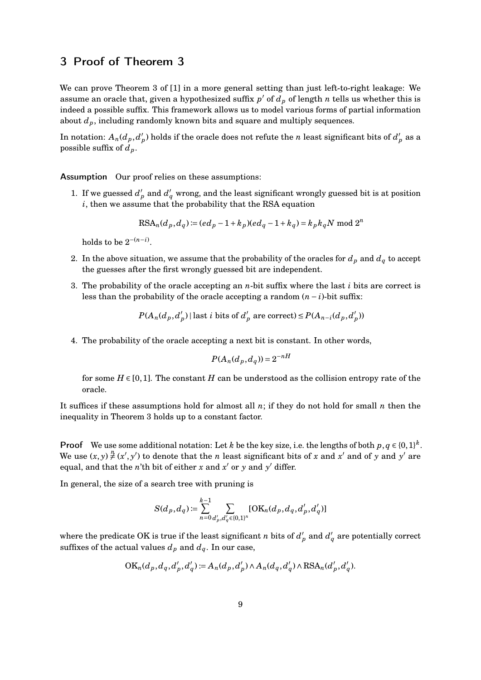### 3 Proof of Theorem 3

We can prove Theorem 3 of [\[1\]](#page-10-0) in a more general setting than just left-to-right leakage: We assume an oracle that, given a hypothesized suffix  $p'$  of  $d_p$  of length  $n$  tells us whether this is indeed a possible suffix. This framework allows us to model various forms of partial information about *dp*, including randomly known bits and square and multiply sequences.

In notation:  $A_n(d_p, d'_p)$  $p'$ ) holds if the oracle does not refute the *n* least significant bits of  $d'_p$  as a possible suffix of  $d_p$ .

Assumption Our proof relies on these assumptions:

1. If we guessed  $d'_{p}$  and  $d'_{q}$  wrong, and the least significant wrongly guessed bit is at position *i*, then we assume that the probability that the RSA equation

$$
RSA_n(d_p, d_q) := (ed_p - 1 + k_p)(ed_q - 1 + k_q) = k_p k_q N \mod 2^n
$$

holds to be  $2^{-(n-i)}$ .

- 2. In the above situation, we assume that the probability of the oracles for  $d<sub>p</sub>$  and  $d<sub>q</sub>$  to accept the guesses after the first wrongly guessed bit are independent.
- 3. The probability of the oracle accepting an *n*-bit suffix where the last *i* bits are correct is less than the probability of the oracle accepting a random  $(n - i)$ -bit suffix:

$$
P(A_n(d_p, d'_p) |
$$
 last *i* bits of  $d'_p$  are correct)  $\leq P(A_{n-i}(d_p, d'_p))$ 

4. The probability of the oracle accepting a next bit is constant. In other words,

$$
P(A_n(d_p, d_q)) = 2^{-nH}
$$

for some  $H \in [0,1]$ . The constant *H* can be understood as the collision entropy rate of the oracle.

It suffices if these assumptions hold for almost all *n*; if they do not hold for small *n* then the inequality in Theorem 3 holds up to a constant factor.

**Proof** We use some additional notation: Let *k* be the key size, i.e. the lengths of both  $p, q \in \{0,1\}^k$ . We use  $(x, y) \neq (x', y')$  to denote that the *n* least significant bits of *x* and *x'* and of *y* and *y'* are equal, and that the *n*'th bit of either *x* and *x'* or *y* and *y'* differ.

In general, the size of a search tree with pruning is

$$
S(d_p, d_q) := \sum_{n=0}^{k-1} \sum_{d'_p, d'_q \in \{0,1\}^n} [\text{OK}_n(d_p, d_q, d'_p, d'_q)]
$$

where the predicate OK is true if the least significant *n* bits of  $d'_p$  and  $d'_q$  are potentially correct suffixes of the actual values  $d_p$  and  $d_q$ . In our case,

$$
OK_n(d_p, d_q, d'_p, d'_q) := A_n(d_p, d'_p) \wedge A_n(d_q, d'_q) \wedge RSA_n(d'_p, d'_q).
$$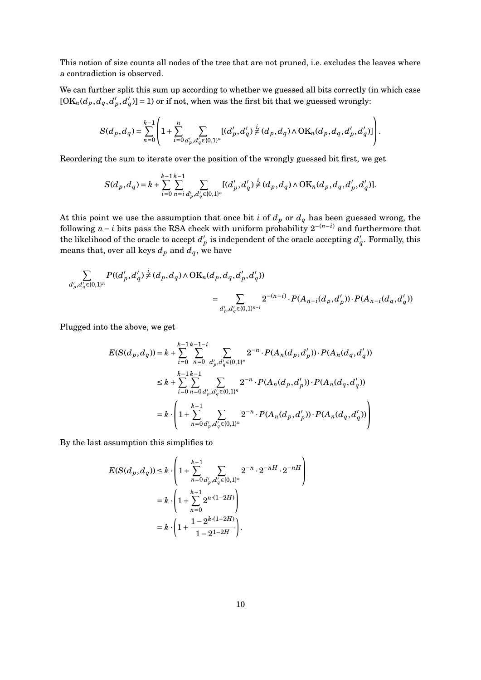This notion of size counts all nodes of the tree that are not pruned, i.e. excludes the leaves where a contradiction is observed.

We can further split this sum up according to whether we guessed all bits correctly (in which case  $[OK_n(d_p, d_q, d'_p)]$  $_{p}^{\prime},\overline{d}_{q}^{\prime}$  $q'$ )] = 1) or if not, when was the first bit that we guessed wrongly:

$$
S(d_p, d_q) = \sum_{n=0}^{k-1} \left( 1 + \sum_{i=0}^n \sum_{d'_p, d'_q \in \{0,1\}^n} [(d'_p, d'_q) \neq (d_p, d_q) \wedge \mathrm{OK}_n(d_p, d_q, d'_p, d'_q)] \right).
$$

Reordering the sum to iterate over the position of the wrongly guessed bit first, we get

$$
S(d_p, d_q) = k + \sum_{i=0}^{k-1} \sum_{n=i}^{k-1} \sum_{d'_p, d'_q \in \{0,1\}^n} [(d'_p, d'_q) \neq (d_p, d_q) \wedge \mathrm{OK}_n(d_p, d_q, d'_p, d'_q)].
$$

At this point we use the assumption that once bit *i* of  $d_p$  or  $d_q$  has been guessed wrong, the following *n* − *i* bits pass the RSA check with uniform probability  $2^{-(n-i)}$  and furthermore that the likelihood of the oracle to accept  $d'$  $p'$  is independent of the oracle accepting  $d'$ *q* . Formally, this means that, over all keys  $d_p$  and  $d_q$ , we have

$$
\sum_{d'_p, d'_q \in \{0,1\}^n} P((d'_p, d'_q) \neq (d_p, d_q) \wedge \mathrm{OK}_n(d_p, d_q, d'_p, d'_q))
$$
\n
$$
= \sum_{d'_p, d'_q \in \{0,1\}^{n-i}} 2^{-(n-i)} \cdot P(A_{n-i}(d_p, d'_p)) \cdot P(A_{n-i}(d_q, d'_q))
$$

Plugged into the above, we get

$$
E(S(d_p, d_q)) = k + \sum_{i=0}^{k-1} \sum_{n=0}^{k-1-i} \sum_{d'_p, d'_q \in \{0, 1\}^n} 2^{-n} \cdot P(A_n(d_p, d'_p)) \cdot P(A_n(d_q, d'_q))
$$
  
\n
$$
\leq k + \sum_{i=0}^{k-1} \sum_{n=0}^{k-1} \sum_{d'_p, d'_q \in \{0, 1\}^n} 2^{-n} \cdot P(A_n(d_p, d'_p)) \cdot P(A_n(d_q, d'_q))
$$
  
\n
$$
= k \cdot \left(1 + \sum_{n=0}^{k-1} \sum_{d'_p, d'_q \in \{0, 1\}^n} 2^{-n} \cdot P(A_n(d_p, d'_p)) \cdot P(A_n(d_q, d'_q))\right)
$$

By the last assumption this simplifies to

$$
E(S(d_p, d_q)) \le k \cdot \left(1 + \sum_{n=0}^{k-1} \sum_{d'_p, d'_q \in \{0, 1\}^n} 2^{-n} \cdot 2^{-nH} \cdot 2^{-nH}\right)
$$
  
=  $k \cdot \left(1 + \sum_{n=0}^{k-1} 2^{n \cdot (1-2H)}\right)$   
=  $k \cdot \left(1 + \frac{1 - 2^{k \cdot (1-2H)}}{1 - 2^{1-2H}}\right).$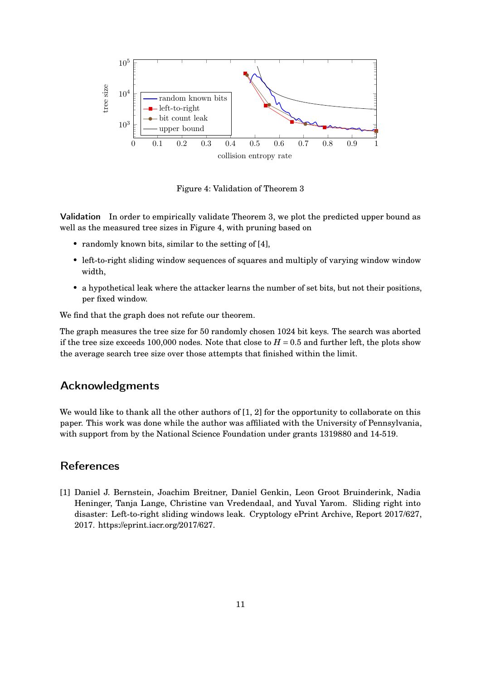

<span id="page-10-1"></span>Figure 4: Validation of Theorem 3

Validation In order to empirically validate Theorem 3, we plot the predicted upper bound as well as the measured tree sizes in [Figure 4,](#page-10-1) with pruning based on

- randomly known bits, similar to the setting of [\[4\]](#page-11-4),
- left-to-right sliding window sequences of squares and multiply of varying window window width,
- a hypothetical leak where the attacker learns the number of set bits, but not their positions, per fixed window.

We find that the graph does not refute our theorem.

The graph measures the tree size for 50 randomly chosen 1024 bit keys. The search was aborted if the tree size exceeds 100,000 nodes. Note that close to  $H = 0.5$  and further left, the plots show the average search tree size over those attempts that finished within the limit.

### Acknowledgments

We would like to thank all the other authors of [\[1,](#page-10-0) [2\]](#page-11-0) for the opportunity to collaborate on this paper. This work was done while the author was affiliated with the University of Pennsylvania, with support from by the National Science Foundation under grants 1319880 and 14-519.

### References

<span id="page-10-0"></span>[1] Daniel J. Bernstein, Joachim Breitner, Daniel Genkin, Leon Groot Bruinderink, Nadia Heninger, Tanja Lange, Christine van Vredendaal, and Yuval Yarom. Sliding right into disaster: Left-to-right sliding windows leak. Cryptology ePrint Archive, Report 2017/627, 2017. [https://eprint.iacr.org/2017/627.](https://eprint.iacr.org/2017/627)